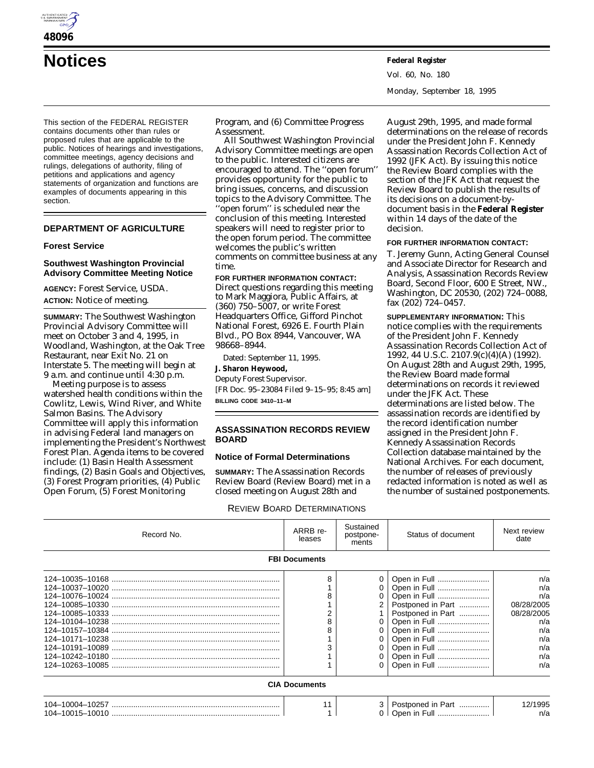

**Notices Federal Register**

This section of the FEDERAL REGISTER contains documents other than rules or proposed rules that are applicable to the public. Notices of hearings and investigations, committee meetings, agency decisions and rulings, delegations of authority, filing of petitions and applications and agency statements of organization and functions are examples of documents appearing in this section.

### **DEPARTMENT OF AGRICULTURE**

### **Forest Service**

#### **Southwest Washington Provincial Advisory Committee Meeting Notice**

**AGENCY:** Forest Service, USDA. **ACTION:** Notice of meeting.

**SUMMARY:** The Southwest Washington Provincial Advisory Committee will meet on October 3 and 4, 1995, in Woodland, Washington, at the Oak Tree Restaurant, near Exit No. 21 on Interstate 5. The meeting will begin at 9 a.m. and continue until 4:30 p.m.

Meeting purpose is to assess watershed health conditions within the Cowlitz, Lewis, Wind River, and White Salmon Basins. The Advisory Committee will apply this information in advising Federal land managers on implementing the President's Northwest Forest Plan. Agenda items to be covered include: (1) Basin Health Assessment findings, (2) Basin Goals and Objectives, (3) Forest Program priorities, (4) Public Open Forum, (5) Forest Monitoring

Program, and (6) Committee Progress Assessment.

All Southwest Washington Provincial Advisory Committee meetings are open to the public. Interested citizens are encouraged to attend. The ''open forum'' provides opportunity for the public to bring issues, concerns, and discussion topics to the Advisory Committee. The

''open forum'' is scheduled near the conclusion of this meeting. Interested speakers will need to register prior to the open forum period. The committee welcomes the public's written comments on committee business at any time.

# **FOR FURTHER INFORMATION CONTACT:**

Direct questions regarding this meeting to Mark Maggiora, Public Affairs, at (360) 750–5007, or write Forest Headquarters Office, Gifford Pinchot National Forest, 6926 E. Fourth Plain Blvd., PO Box 8944, Vancouver, WA 98668–8944.

Dated: September 11, 1995.

**J. Sharon Heywood,**

*Deputy Forest Supervisor.* [FR Doc. 95–23084 Filed 9–15–95; 8:45 am]

**BILLING CODE 3410–11–M**

### **ASSASSINATION RECORDS REVIEW BOARD**

### **Notice of Formal Determinations**

**SUMMARY:** The Assassination Records Review Board (Review Board) met in a closed meeting on August 28th and

REVIEW BOARD DETERMINATIONS

August 29th, 1995, and made formal determinations on the release of records under the President John F. Kennedy Assassination Records Collection Act of 1992 (JFK Act). By issuing this notice the Review Board complies with the section of the JFK Act that request the Review Board to publish the results of its decisions on a document-bydocument basis in the **Federal Register** within 14 days of the date of the decision.

#### **FOR FURTHER INFORMATION CONTACT:**

T. Jeremy Gunn, Acting General Counsel and Associate Director for Research and Analysis, Assassination Records Review Board, Second Floor, 600 E Street, NW., Washington, DC 20530, (202) 724–0088, fax (202) 724–0457.

**SUPPLEMENTARY INFORMATION:** This notice complies with the requirements of the *President John F. Kennedy Assassination Records Collection Act of 1992,* 44 U.S.C. 2107.9(c)(4)(A) (1992). On August 28th and August 29th, 1995, the Review Board made formal determinations on records it reviewed under the JFK Act. These determinations are listed below. The assassination records are identified by the record identification number assigned in the President John F. Kennedy Assassination Records Collection database maintained by the National Archives. For each document, the number of releases of previously redacted information is noted as well as the number of sustained postponements.

| Record No.           | ARRB re-<br>leases | Sustained<br>postpone-<br>ments | Status of document                                                                                                                                                                         | Next review<br>date                                                                     |  |  |
|----------------------|--------------------|---------------------------------|--------------------------------------------------------------------------------------------------------------------------------------------------------------------------------------------|-----------------------------------------------------------------------------------------|--|--|
| <b>FBI Documents</b> |                    |                                 |                                                                                                                                                                                            |                                                                                         |  |  |
|                      | 8                  |                                 | Open in Full<br>0   Open in Full<br>Open in Full<br>Postponed in Part<br>Postponed in Part<br>Open in Full<br>Open in Full<br>Open in Full<br>Open in Full<br>Open in Full<br>Open in Full | n/a<br>n/a<br>n/a<br>08/28/2005<br>08/28/2005<br>n/a<br>n/a<br>n/a<br>n/a<br>n/a<br>n/a |  |  |
| <b>CIA Documents</b> |                    |                                 |                                                                                                                                                                                            |                                                                                         |  |  |
|                      | 11                 |                                 | 3   Postponed in Part                                                                                                                                                                      | 12/1995<br>n/a                                                                          |  |  |